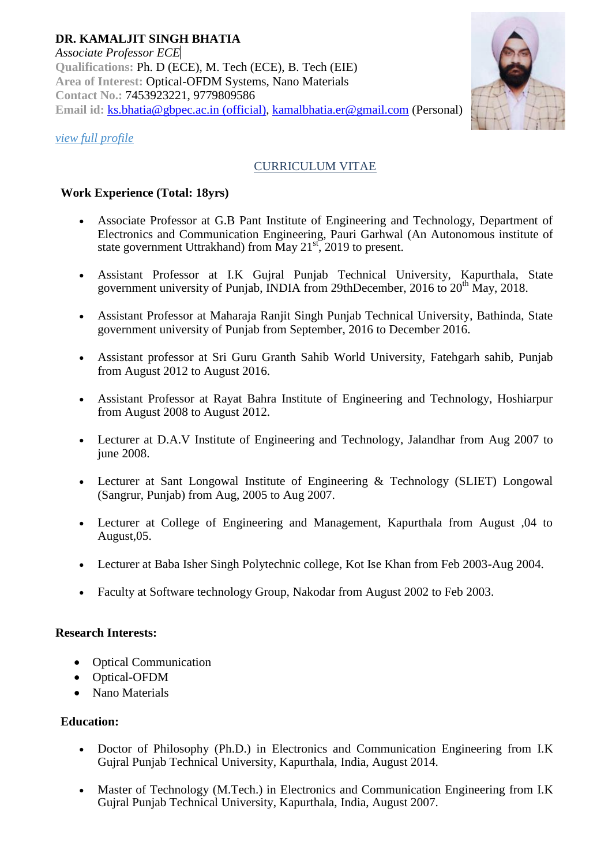

# *[view full profile](http://www.gbpec.ac.in/facultyresume/YsinghSir.doc)*

# CURRICULUM VITAE

## **Work Experience (Total: 18yrs)**

- Associate Professor at G.B Pant Institute of Engineering and Technology, Department of Electronics and Communication Engineering, Pauri Garhwal (An Autonomous institute of state government Uttrakhand) from May  $21<sup>st</sup>$ , 2019 to present.
- Assistant Professor at I.K Gujral Punjab Technical University, Kapurthala, State government university of Punjab, INDIA from 29thDecember, 2016 to 20<sup>th</sup> May, 2018.
- Assistant Professor at Maharaja Ranjit Singh Punjab Technical University, Bathinda, State government university of Punjab from September, 2016 to December 2016.
- Assistant professor at Sri Guru Granth Sahib World University, Fatehgarh sahib, Punjab from August 2012 to August 2016.
- Assistant Professor at Rayat Bahra Institute of Engineering and Technology, Hoshiarpur from August 2008 to August 2012.
- Lecturer at D.A.V Institute of Engineering and Technology, Jalandhar from Aug 2007 to june 2008.
- Lecturer at Sant Longowal Institute of Engineering & Technology (SLIET) Longowal (Sangrur, Punjab) from Aug, 2005 to Aug 2007.
- Lecturer at College of Engineering and Management, Kapurthala from August ,04 to August,05.
- Lecturer at Baba Isher Singh Polytechnic college, Kot Ise Khan from Feb 2003-Aug 2004.
- Faculty at Software technology Group, Nakodar from August 2002 to Feb 2003.

## **Research Interests:**

- Optical Communication
- Optical-OFDM
- Nano Materials

## **Education:**

- Doctor of Philosophy (Ph.D.) in Electronics and Communication Engineering from I.K Gujral Punjab Technical University, Kapurthala, India, August 2014.
- Master of Technology (M.Tech.) in Electronics and Communication Engineering from I.K Gujral Punjab Technical University, Kapurthala, India, August 2007.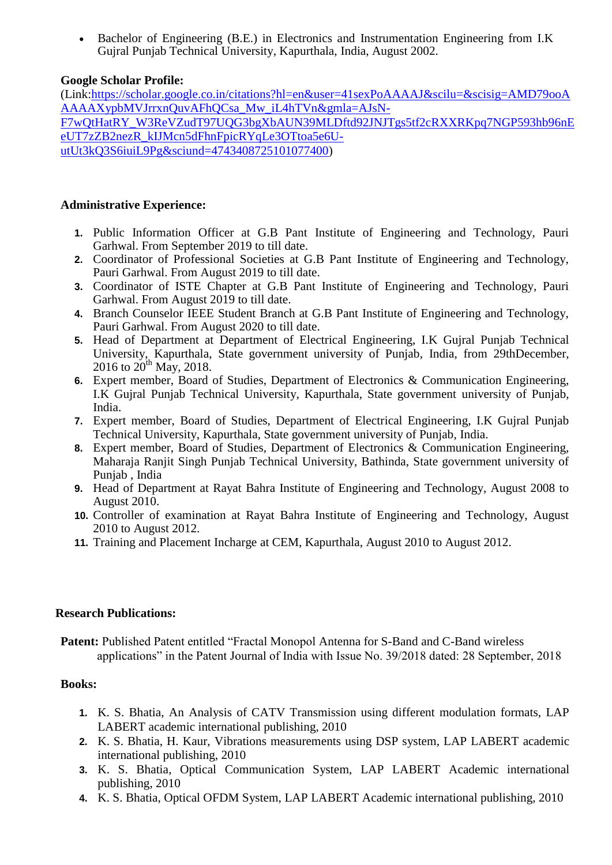Bachelor of Engineering (B.E.) in Electronics and Instrumentation Engineering from I.K Gujral Punjab Technical University, Kapurthala, India, August 2002.

## **Google Scholar Profile:**

(Link[:https://scholar.google.co.in/citations?hl=en&user=41sexPoAAAAJ&scilu=&scisig=AMD79ooA](https://scholar.google.co.in/citations?hl=en&user=41sexPoAAAAJ&scilu=&scisig=AMD79ooAAAAAXypbMVJrrxnQuvAFhQCsa_Mw_iL4hTVn&gmla=AJsN-F7wQtHatRY_W3ReVZudT97UQG3bgXbAUN39MLDftd92JNJTgs5tf2cRXXRKpq7NGP593hb96nEeUT7zZB2nezR_kIJMcn5dFhnFpicRYqLe3OTtoa5e6U-utUt3kQ3S6iuiL9Pg&sciund=4743408725101077400) [AAAAXypbMVJrrxnQuvAFhQCsa\\_Mw\\_iL4hTVn&gmla=AJsN-](https://scholar.google.co.in/citations?hl=en&user=41sexPoAAAAJ&scilu=&scisig=AMD79ooAAAAAXypbMVJrrxnQuvAFhQCsa_Mw_iL4hTVn&gmla=AJsN-F7wQtHatRY_W3ReVZudT97UQG3bgXbAUN39MLDftd92JNJTgs5tf2cRXXRKpq7NGP593hb96nEeUT7zZB2nezR_kIJMcn5dFhnFpicRYqLe3OTtoa5e6U-utUt3kQ3S6iuiL9Pg&sciund=4743408725101077400)[F7wQtHatRY\\_W3ReVZudT97UQG3bgXbAUN39MLDftd92JNJTgs5tf2cRXXRKpq7NGP593hb96nE](https://scholar.google.co.in/citations?hl=en&user=41sexPoAAAAJ&scilu=&scisig=AMD79ooAAAAAXypbMVJrrxnQuvAFhQCsa_Mw_iL4hTVn&gmla=AJsN-F7wQtHatRY_W3ReVZudT97UQG3bgXbAUN39MLDftd92JNJTgs5tf2cRXXRKpq7NGP593hb96nEeUT7zZB2nezR_kIJMcn5dFhnFpicRYqLe3OTtoa5e6U-utUt3kQ3S6iuiL9Pg&sciund=4743408725101077400) [eUT7zZB2nezR\\_kIJMcn5dFhnFpicRYqLe3OTtoa5e6U](https://scholar.google.co.in/citations?hl=en&user=41sexPoAAAAJ&scilu=&scisig=AMD79ooAAAAAXypbMVJrrxnQuvAFhQCsa_Mw_iL4hTVn&gmla=AJsN-F7wQtHatRY_W3ReVZudT97UQG3bgXbAUN39MLDftd92JNJTgs5tf2cRXXRKpq7NGP593hb96nEeUT7zZB2nezR_kIJMcn5dFhnFpicRYqLe3OTtoa5e6U-utUt3kQ3S6iuiL9Pg&sciund=4743408725101077400)[utUt3kQ3S6iuiL9Pg&sciund=4743408725101077400\)](https://scholar.google.co.in/citations?hl=en&user=41sexPoAAAAJ&scilu=&scisig=AMD79ooAAAAAXypbMVJrrxnQuvAFhQCsa_Mw_iL4hTVn&gmla=AJsN-F7wQtHatRY_W3ReVZudT97UQG3bgXbAUN39MLDftd92JNJTgs5tf2cRXXRKpq7NGP593hb96nEeUT7zZB2nezR_kIJMcn5dFhnFpicRYqLe3OTtoa5e6U-utUt3kQ3S6iuiL9Pg&sciund=4743408725101077400)

#### **Administrative Experience:**

- **1.** Public Information Officer at G.B Pant Institute of Engineering and Technology, Pauri Garhwal. From September 2019 to till date.
- **2.** Coordinator of Professional Societies at G.B Pant Institute of Engineering and Technology, Pauri Garhwal. From August 2019 to till date.
- **3.** Coordinator of ISTE Chapter at G.B Pant Institute of Engineering and Technology, Pauri Garhwal. From August 2019 to till date.
- **4.** Branch Counselor IEEE Student Branch at G.B Pant Institute of Engineering and Technology, Pauri Garhwal. From August 2020 to till date.
- **5.** Head of Department at Department of Electrical Engineering, I.K Gujral Punjab Technical University, Kapurthala, State government university of Punjab, India, from 29thDecember, 2016 to  $20^{th}$  May, 2018.
- **6.** Expert member, Board of Studies, Department of Electronics & Communication Engineering, I.K Gujral Punjab Technical University, Kapurthala, State government university of Punjab, India.
- **7.** Expert member, Board of Studies, Department of Electrical Engineering, I.K Gujral Punjab Technical University, Kapurthala, State government university of Punjab, India.
- **8.** Expert member, Board of Studies, Department of Electronics & Communication Engineering, Maharaja Ranjit Singh Punjab Technical University, Bathinda, State government university of Punjab , India
- **9.** Head of Department at Rayat Bahra Institute of Engineering and Technology, August 2008 to August 2010.
- **10.** Controller of examination at Rayat Bahra Institute of Engineering and Technology, August 2010 to August 2012.
- **11.** Training and Placement Incharge at CEM, Kapurthala, August 2010 to August 2012.

## **Research Publications:**

Patent: Published Patent entitled "Fractal Monopol Antenna for S-Band and C-Band wireless applications" in the Patent Journal of India with Issue No. 39/2018 dated: 28 September, 2018

## **Books:**

- **1.** K. S. Bhatia, An Analysis of CATV Transmission using different modulation formats, LAP LABERT academic international publishing, 2010
- **2.** K. S. Bhatia, H. Kaur, Vibrations measurements using DSP system, LAP LABERT academic international publishing, 2010
- **3.** K. S. Bhatia, Optical Communication System, LAP LABERT Academic international publishing, 2010
- **4.** K. S. Bhatia, Optical OFDM System, LAP LABERT Academic international publishing, 2010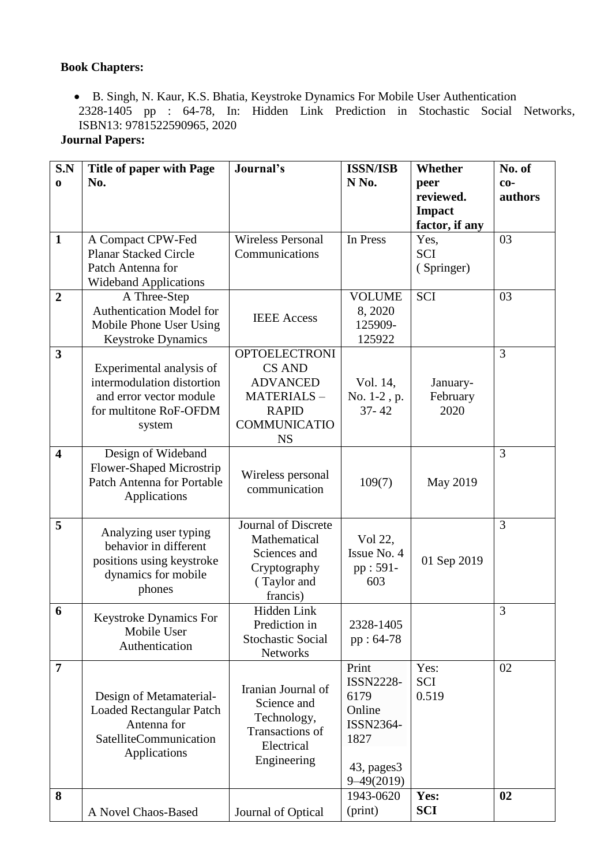# **Book Chapters:**

 B. Singh, N. Kaur, K.S. Bhatia, Keystroke Dynamics For Mobile User Authentication 2328-1405 pp : 64-78, In: Hidden Link Prediction in Stochastic Social Networks, ISBN13: 9781522590965, 2020

# **Journal Papers:**

| S.N<br>$\bf{0}$         | <b>Title of paper with Page</b><br>No.                                                                                | Journal's                                                                                                                         | <b>ISSN/ISB</b><br>N <sub>No.</sub>                                                               | Whether<br>peer                              | No. of<br>$co-$ |
|-------------------------|-----------------------------------------------------------------------------------------------------------------------|-----------------------------------------------------------------------------------------------------------------------------------|---------------------------------------------------------------------------------------------------|----------------------------------------------|-----------------|
|                         |                                                                                                                       |                                                                                                                                   |                                                                                                   | reviewed.<br><b>Impact</b><br>factor, if any | authors         |
| $\mathbf{1}$            | A Compact CPW-Fed<br><b>Planar Stacked Circle</b><br>Patch Antenna for<br><b>Wideband Applications</b>                | <b>Wireless Personal</b><br>Communications                                                                                        | In Press                                                                                          | Yes,<br><b>SCI</b><br>(Springer)             | 03              |
| $\overline{2}$          | A Three-Step<br><b>Authentication Model for</b><br>Mobile Phone User Using<br><b>Keystroke Dynamics</b>               | <b>IEEE</b> Access                                                                                                                | <b>VOLUME</b><br>8,2020<br>125909-<br>125922                                                      | <b>SCI</b>                                   | 03              |
| 3                       | Experimental analysis of<br>intermodulation distortion<br>and error vector module<br>for multitone RoF-OFDM<br>system | <b>OPTOELECTRONI</b><br><b>CS AND</b><br><b>ADVANCED</b><br><b>MATERIALS-</b><br><b>RAPID</b><br><b>COMMUNICATIO</b><br><b>NS</b> | Vol. 14,<br>No. 1-2, p.<br>$37 - 42$                                                              | January-<br>February<br>2020                 | 3               |
| $\overline{\mathbf{4}}$ | Design of Wideband<br>Flower-Shaped Microstrip<br><b>Patch Antenna for Portable</b><br>Applications                   | Wireless personal<br>communication                                                                                                | 109(7)                                                                                            | May 2019                                     | 3               |
| 5                       | Analyzing user typing<br>behavior in different<br>positions using keystroke<br>dynamics for mobile<br>phones          | Journal of Discrete<br>Mathematical<br>Sciences and<br>Cryptography<br>(Taylor and<br>francis)                                    | Vol 22,<br>Issue No. 4<br>pp: 591-<br>603                                                         | 01 Sep 2019                                  | 3               |
| 6                       | <b>Keystroke Dynamics For</b><br>Mobile User<br>Authentication                                                        | Hidden Link<br>Prediction in<br><b>Stochastic Social</b><br>Networks                                                              | 2328-1405<br>pp: 64-78                                                                            |                                              | 3               |
| $\overline{7}$          | Design of Metamaterial-<br><b>Loaded Rectangular Patch</b><br>Antenna for<br>SatelliteCommunication<br>Applications   | Iranian Journal of<br>Science and<br>Technology,<br>Transactions of<br>Electrical<br>Engineering                                  | Print<br><b>ISSN2228-</b><br>6179<br>Online<br>ISSN2364-<br>1827<br>43, pages 3<br>$9 - 49(2019)$ | Yes:<br><b>SCI</b><br>0.519                  | 02              |
| 8                       | A Novel Chaos-Based                                                                                                   | Journal of Optical                                                                                                                | 1943-0620<br>(print)                                                                              | Yes:<br><b>SCI</b>                           | 02              |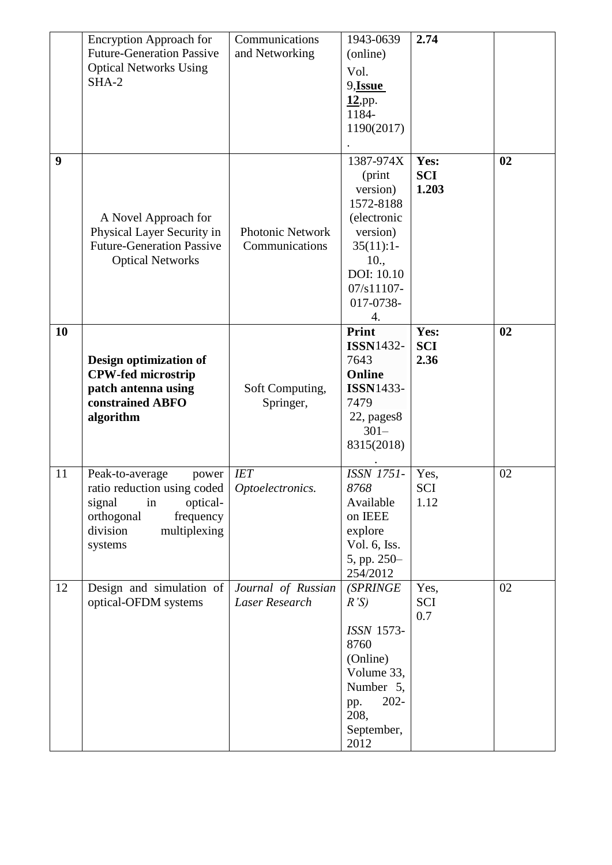|    | <b>Encryption Approach for</b>                      | Communications          | 1943-0639               | 2.74               |    |
|----|-----------------------------------------------------|-------------------------|-------------------------|--------------------|----|
|    | <b>Future-Generation Passive</b>                    | and Networking          | (online)                |                    |    |
|    | <b>Optical Networks Using</b>                       |                         | Vol.                    |                    |    |
|    | $SHA-2$                                             |                         | 9,Issue                 |                    |    |
|    |                                                     |                         | $12$ , pp.              |                    |    |
|    |                                                     |                         | 1184-                   |                    |    |
|    |                                                     |                         | 1190(2017)              |                    |    |
|    |                                                     |                         |                         |                    |    |
| 9  |                                                     |                         | 1387-974X               | Yes:               | 02 |
|    |                                                     |                         | (print                  | <b>SCI</b>         |    |
|    |                                                     |                         | version)                | 1.203              |    |
|    |                                                     |                         | 1572-8188               |                    |    |
|    | A Novel Approach for                                |                         | (electronic             |                    |    |
|    | Physical Layer Security in                          | <b>Photonic Network</b> | version)                |                    |    |
|    | <b>Future-Generation Passive</b>                    | Communications          | 35(11):1                |                    |    |
|    | <b>Optical Networks</b>                             |                         | 10.,                    |                    |    |
|    |                                                     |                         | DOI: 10.10              |                    |    |
|    |                                                     |                         | 07/s11107-              |                    |    |
|    |                                                     |                         | 017-0738-               |                    |    |
|    |                                                     |                         | 4.<br>Print             |                    |    |
| 10 |                                                     |                         | <b>ISSN1432-</b>        | Yes:<br><b>SCI</b> | 02 |
|    |                                                     |                         | 7643                    | 2.36               |    |
|    | Design optimization of<br><b>CPW-fed microstrip</b> |                         | Online                  |                    |    |
|    | patch antenna using                                 | Soft Computing,         | <b>ISSN1433-</b>        |                    |    |
|    | constrained ABFO                                    | Springer,               | 7479                    |                    |    |
|    | algorithm                                           |                         | 22, pages8              |                    |    |
|    |                                                     |                         | $301 -$                 |                    |    |
|    |                                                     |                         | 8315(2018)              |                    |    |
|    |                                                     |                         |                         |                    |    |
| 11 | Peak-to-average<br>power                            | <b>IET</b>              | <b>ISSN 1751-</b>       | Yes,               | 02 |
|    | ratio reduction using coded                         | Optoelectronics.        | 8768                    | SCI                |    |
|    | signal<br>in<br>optical-                            |                         | Available               | 1.12               |    |
|    | orthogonal<br>frequency                             |                         | on IEEE                 |                    |    |
|    | multiplexing<br>division                            |                         | explore                 |                    |    |
|    | systems                                             |                         | Vol. 6, Iss.            |                    |    |
|    |                                                     |                         | 5, pp. 250-             |                    |    |
|    |                                                     |                         | 254/2012                |                    |    |
| 12 | Design and simulation of                            | Journal of Russian      | (SPRINGE                | Yes,               | 02 |
|    | optical-OFDM systems                                | Laser Research          | R'S                     | SCI                |    |
|    |                                                     |                         |                         | 0.7                |    |
|    |                                                     |                         | <b>ISSN 1573-</b>       |                    |    |
|    |                                                     |                         | 8760                    |                    |    |
|    |                                                     |                         | (Online)                |                    |    |
|    |                                                     |                         | Volume 33,<br>Number 5, |                    |    |
|    |                                                     |                         | $202 -$                 |                    |    |
|    |                                                     |                         | pp.<br>208,             |                    |    |
|    |                                                     |                         | September,              |                    |    |
|    |                                                     |                         | 2012                    |                    |    |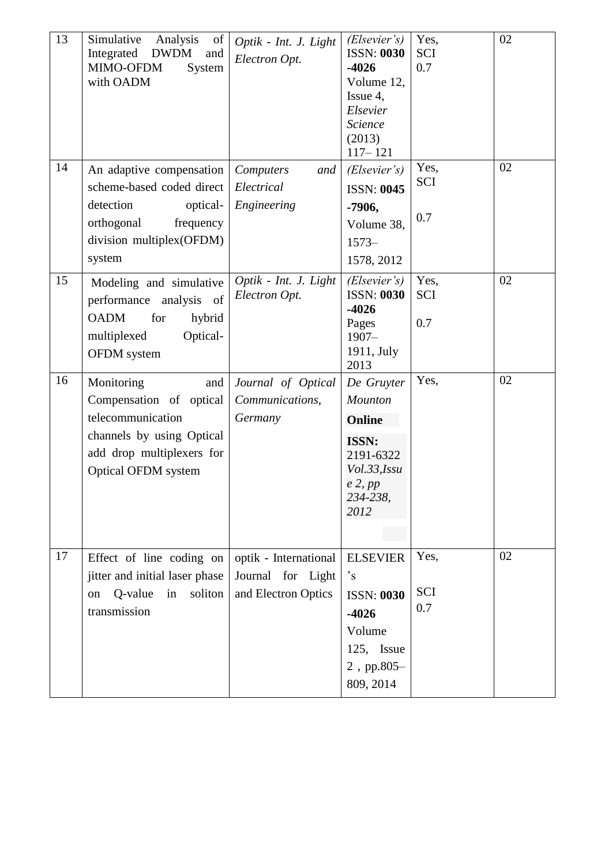| 13 | Simulative<br>Analysis<br>of<br>Integrated<br><b>DWDM</b><br>and<br>MIMO-OFDM<br>System<br>with OADM                                               | Optik - Int. J. Light<br>Electron Opt.                            | (Elsever's)<br><b>ISSN: 0030</b><br>$-4026$<br>Volume 12,<br>Issue 4,<br>Elsevier<br>Science<br>(2013)<br>$117 - 121$        | Yes,<br><b>SCI</b><br>0.7 | 02 |
|----|----------------------------------------------------------------------------------------------------------------------------------------------------|-------------------------------------------------------------------|------------------------------------------------------------------------------------------------------------------------------|---------------------------|----|
| 14 | An adaptive compensation<br>scheme-based coded direct<br>detection<br>optical-<br>frequency<br>orthogonal<br>division multiplex(OFDM)<br>system    | Computers<br>and<br>Electrical<br>Engineering                     | (Elsevier's)<br><b>ISSN: 0045</b><br>-7906,<br>Volume 38,<br>$1573-$<br>1578, 2012                                           | Yes,<br>SCI<br>0.7        | 02 |
| 15 | Modeling and simulative<br>analysis of<br>performance<br><b>OADM</b><br>for<br>hybrid<br>multiplexed<br>Optical-<br><b>OFDM</b> system             | Optik - Int. J. Light<br>Electron Opt.                            | (Elsever's)<br><b>ISSN: 0030</b><br>$-4026$<br>Pages<br>$1907 -$<br>1911, July<br>2013                                       | Yes,<br><b>SCI</b><br>0.7 | 02 |
| 16 | Monitoring<br>and<br>Compensation of optical<br>telecommunication<br>channels by using Optical<br>add drop multiplexers for<br>Optical OFDM system | Journal of Optical<br>Communications,<br>Germany                  | De Gruyter<br>Mounton<br>Online<br><b>ISSN:</b><br>2191-6322<br>Vol.33,Issu<br>$e$ 2, $pp$<br>234-238,<br>2012               | Yes,                      | 02 |
| 17 | Effect of line coding on<br>jitter and initial laser phase<br>Q-value<br>soliton<br>in<br>on<br>transmission                                       | optik - International<br>Journal for Light<br>and Electron Optics | <b>ELSEVIER</b><br>$\degree$ <sub>S</sub><br><b>ISSN: 0030</b><br>$-4026$<br>Volume<br>125, Issue<br>2, pp.805-<br>809, 2014 | Yes,<br><b>SCI</b><br>0.7 | 02 |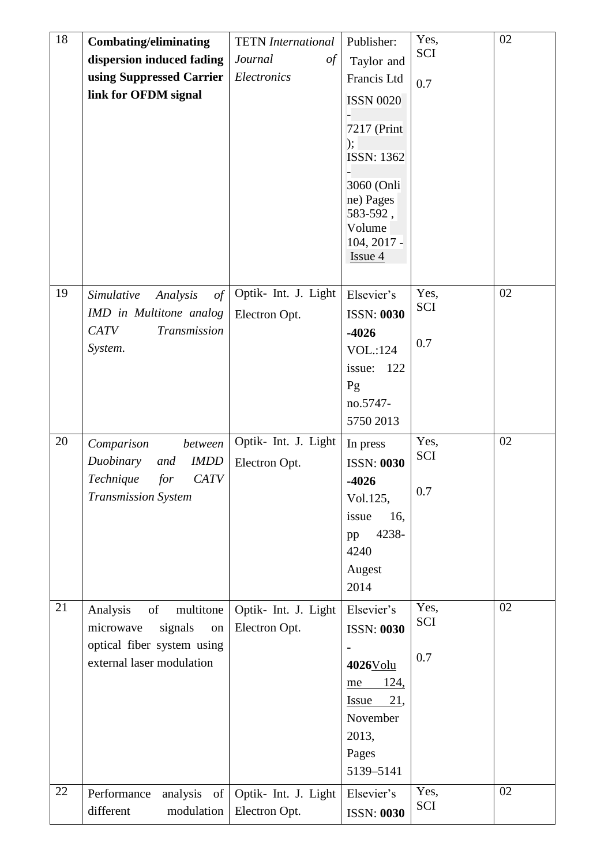| 18 | <b>Combating/eliminating</b>    | <b>TETN</b> International | Publisher:              | Yes,        | 02 |
|----|---------------------------------|---------------------------|-------------------------|-------------|----|
|    | dispersion induced fading       | Journal<br>$\iota$        | Taylor and              | <b>SCI</b>  |    |
|    | using Suppressed Carrier        | Electronics               | Francis Ltd             | 0.7         |    |
|    | link for OFDM signal            |                           | <b>ISSN 0020</b>        |             |    |
|    |                                 |                           |                         |             |    |
|    |                                 |                           | 7217 (Print             |             |    |
|    |                                 |                           | );<br><b>ISSN: 1362</b> |             |    |
|    |                                 |                           |                         |             |    |
|    |                                 |                           | 3060 (Onli              |             |    |
|    |                                 |                           | ne) Pages<br>583-592,   |             |    |
|    |                                 |                           | Volume                  |             |    |
|    |                                 |                           | 104, 2017 -             |             |    |
|    |                                 |                           | Issue 4                 |             |    |
|    |                                 |                           |                         |             |    |
| 19 | Simulative<br>Analysis<br>of    | Optik- Int. J. Light      | Elsevier's              | Yes,<br>SCI | 02 |
|    | IMD in Multitone analog         | Electron Opt.             | <b>ISSN: 0030</b>       |             |    |
|    | <b>CATV</b><br>Transmission     |                           | $-4026$                 | 0.7         |    |
|    | System.                         |                           | <b>VOL</b> :124         |             |    |
|    |                                 |                           | issue:<br>122           |             |    |
|    |                                 |                           | Pg                      |             |    |
|    |                                 |                           | no.5747-                |             |    |
|    |                                 |                           | 5750 2013               |             |    |
| 20 | Comparison<br>between           | Optik- Int. J. Light      | In press                | Yes,<br>SCI | 02 |
|    | Duobinary<br><b>IMDD</b><br>and | Electron Opt.             | <b>ISSN: 0030</b>       |             |    |
|    | Technique<br><b>CATV</b><br>for |                           | $-4026$                 | 0.7         |    |
|    | <b>Transmission System</b>      |                           | Vol.125,                |             |    |
|    |                                 |                           | issue<br>16,<br>4238-   |             |    |
|    |                                 |                           | pp<br>4240              |             |    |
|    |                                 |                           | Augest                  |             |    |
|    |                                 |                           | 2014                    |             |    |
| 21 | Analysis<br>of<br>multitone     | Optik- Int. J. Light      | Elsevier's              | Yes,        | 02 |
|    | microwave<br>signals<br>on      | Electron Opt.             | <b>ISSN: 0030</b>       | <b>SCI</b>  |    |
|    | optical fiber system using      |                           |                         |             |    |
|    | external laser modulation       |                           | 4026Volu                | 0.7         |    |
|    |                                 |                           | <u>124,</u><br>me       |             |    |
|    |                                 |                           | Issue<br>21,            |             |    |
|    |                                 |                           | November                |             |    |
|    |                                 |                           | 2013,                   |             |    |
|    |                                 |                           | Pages                   |             |    |
|    |                                 |                           | 5139-5141               |             |    |
| 22 | Performance<br>analysis of      | Optik- Int. J. Light      | Elsevier's              | Yes,        | 02 |
|    | different<br>modulation         | Electron Opt.             | <b>ISSN: 0030</b>       | SCI         |    |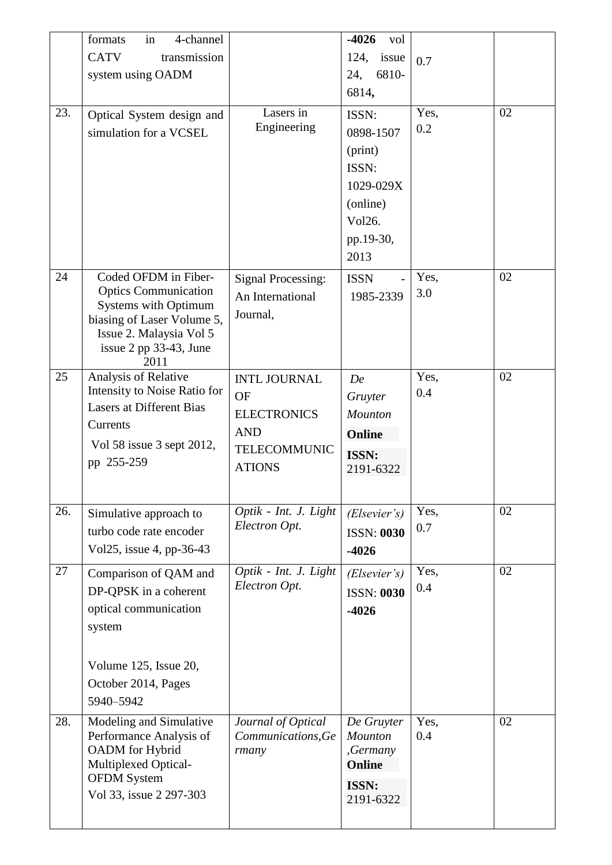|     | 4-channel<br>formats<br>in                          |                                          | $-4026$<br>vol        |             |    |
|-----|-----------------------------------------------------|------------------------------------------|-----------------------|-------------|----|
|     | <b>CATV</b><br>transmission                         |                                          | 124,<br>issue         | 0.7         |    |
|     | system using OADM                                   |                                          | 6810-<br>24,          |             |    |
|     |                                                     |                                          | 6814,                 |             |    |
| 23. | Optical System design and                           | Lasers in                                | ISSN:                 | Yes,        | 02 |
|     | simulation for a VCSEL                              | Engineering                              | 0898-1507             | 0.2         |    |
|     |                                                     |                                          | (print)               |             |    |
|     |                                                     |                                          | ISSN:                 |             |    |
|     |                                                     |                                          | 1029-029X             |             |    |
|     |                                                     |                                          | (online)              |             |    |
|     |                                                     |                                          | Vol26.                |             |    |
|     |                                                     |                                          | pp.19-30,             |             |    |
|     |                                                     |                                          | 2013                  |             |    |
| 24  | Coded OFDM in Fiber-<br><b>Optics Communication</b> | <b>Signal Processing:</b>                | <b>ISSN</b>           | Yes,        | 02 |
|     | <b>Systems with Optimum</b>                         | An International                         | 1985-2339             | 3.0         |    |
|     | biasing of Laser Volume 5,                          | Journal,                                 |                       |             |    |
|     | Issue 2. Malaysia Vol 5                             |                                          |                       |             |    |
|     | issue 2 pp 33-43, June<br>2011                      |                                          |                       |             |    |
| 25  | Analysis of Relative                                | <b>INTL JOURNAL</b>                      | De                    | Yes,        | 02 |
|     | Intensity to Noise Ratio for                        | <b>OF</b>                                | Gruyter               | 0.4         |    |
|     | <b>Lasers at Different Bias</b>                     | <b>ELECTRONICS</b>                       | Mounton               |             |    |
|     | Currents                                            | <b>AND</b>                               | Online                |             |    |
|     | Vol 58 issue 3 sept 2012,                           | <b>TELECOMMUNIC</b>                      | <b>ISSN:</b>          |             |    |
|     | pp 255-259                                          | <b>ATIONS</b>                            | 2191-6322             |             |    |
|     |                                                     |                                          |                       |             |    |
| 26. | Simulative approach to                              | Optik - Int. J. Light                    | (Elsever's)           | Yes,        | 02 |
|     | turbo code rate encoder                             | Electron Opt.                            | <b>ISSN: 0030</b>     | 0.7         |    |
|     | Vol25, issue 4, pp-36-43                            |                                          | $-4026$               |             |    |
| 27  | Comparison of QAM and                               | Optik - Int. J. Light                    | (Elsever's)           | Yes,        | 02 |
|     | DP-QPSK in a coherent                               | Electron Opt.                            | <b>ISSN: 0030</b>     | 0.4         |    |
|     | optical communication                               |                                          | $-4026$               |             |    |
|     | system                                              |                                          |                       |             |    |
|     |                                                     |                                          |                       |             |    |
|     | Volume 125, Issue 20,                               |                                          |                       |             |    |
|     | October 2014, Pages                                 |                                          |                       |             |    |
|     | 5940-5942                                           |                                          |                       |             | 02 |
| 28. | Modeling and Simulative<br>Performance Analysis of  | Journal of Optical<br>Communications, Ge | De Gruyter<br>Mounton | Yes,<br>0.4 |    |
|     | OADM for Hybrid                                     | rmany                                    | ,Germany              |             |    |
|     | Multiplexed Optical-                                |                                          | Online                |             |    |
|     | <b>OFDM</b> System<br>Vol 33, issue 2 297-303       |                                          | <b>ISSN:</b>          |             |    |
|     |                                                     |                                          | 2191-6322             |             |    |
|     |                                                     |                                          |                       |             |    |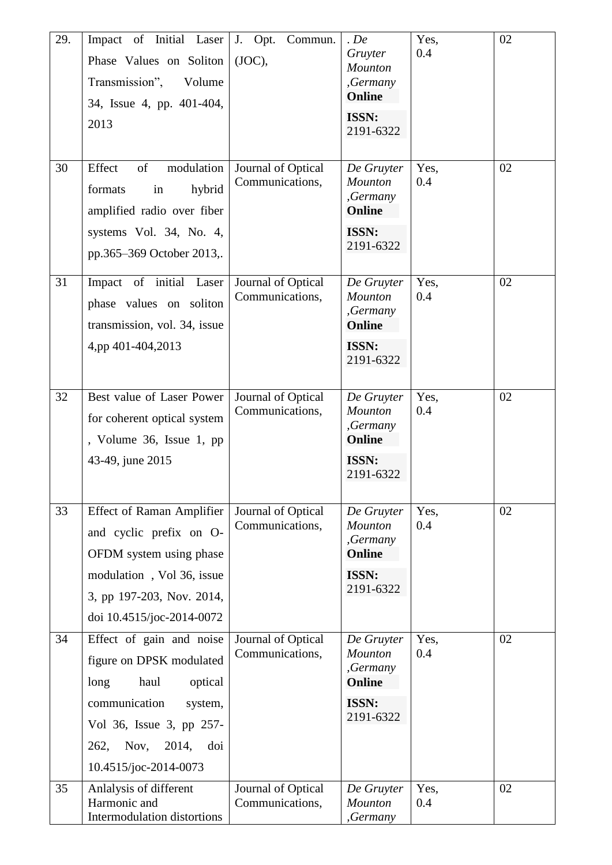| 29. | Impact of Initial Laser<br>Phase Values on Soliton<br>Transmission",<br>Volume<br>34, Issue 4, pp. 401-404,<br>2013                                                                              | J. Opt.<br>Commun.<br>(JOC),          | $.$ De<br>Gruyter<br><b>Mounton</b><br>,Germany<br>Online<br><b>ISSN:</b><br>2191-6322 | Yes,<br>0.4 | 02 |
|-----|--------------------------------------------------------------------------------------------------------------------------------------------------------------------------------------------------|---------------------------------------|----------------------------------------------------------------------------------------|-------------|----|
| 30  | Effect<br>modulation<br>of<br>hybrid<br>formats<br>in<br>amplified radio over fiber<br>systems Vol. 34, No. 4,<br>pp.365-369 October 2013,.                                                      | Journal of Optical<br>Communications, | De Gruyter<br><b>Mounton</b><br>,Germany<br>Online<br><b>ISSN:</b><br>2191-6322        | Yes,<br>0.4 | 02 |
| 31  | Impact of initial Laser<br>phase values on soliton<br>transmission, vol. 34, issue<br>4,pp 401-404,2013                                                                                          | Journal of Optical<br>Communications, | De Gruyter<br><b>Mounton</b><br>,Germany<br>Online<br><b>ISSN:</b><br>2191-6322        | Yes,<br>0.4 | 02 |
| 32  | Best value of Laser Power<br>for coherent optical system<br>, Volume 36, Issue 1, pp<br>43-49, june 2015                                                                                         | Journal of Optical<br>Communications, | De Gruyter<br><b>Mounton</b><br>,Germany<br>Online<br><b>ISSN:</b><br>2191-6322        | Yes,<br>0.4 | 02 |
| 33  | <b>Effect of Raman Amplifier</b><br>and cyclic prefix on O-<br>OFDM system using phase<br>modulation, Vol 36, issue<br>3, pp 197-203, Nov. 2014,<br>doi 10.4515/joc-2014-0072                    | Journal of Optical<br>Communications, | De Gruyter<br>Mounton<br>,Germany<br><b>Online</b><br><b>ISSN:</b><br>2191-6322        | Yes,<br>0.4 | 02 |
| 34  | Effect of gain and noise<br>figure on DPSK modulated<br>haul<br>optical<br>long<br>communication<br>system,<br>Vol 36, Issue 3, pp 257-<br>Nov,<br>2014,<br>262,<br>doi<br>10.4515/joc-2014-0073 | Journal of Optical<br>Communications, | De Gruyter<br><b>Mounton</b><br>,Germany<br>Online<br><b>ISSN:</b><br>2191-6322        | Yes,<br>0.4 | 02 |
| 35  | Anlalysis of different<br>Harmonic and<br>Intermodulation distortions                                                                                                                            | Journal of Optical<br>Communications, | De Gruyter<br>Mounton<br>,Germany                                                      | Yes,<br>0.4 | 02 |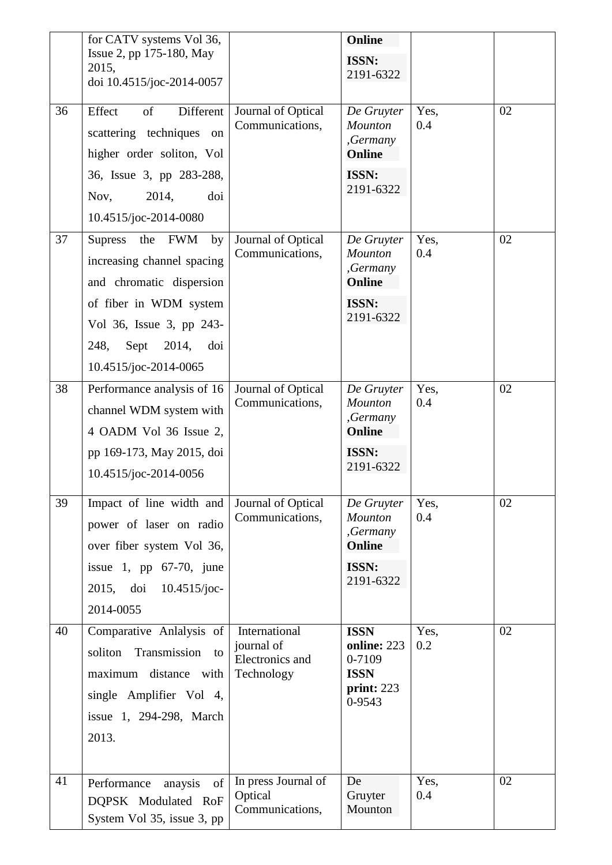|    | for CATV systems Vol 36,<br>Issue 2, pp 175-180, May<br>2015,<br>doi 10.4515/joc-2014-0057                                                                  |                                                              | Online<br><b>ISSN:</b><br>2191-6322                                             |             |    |
|----|-------------------------------------------------------------------------------------------------------------------------------------------------------------|--------------------------------------------------------------|---------------------------------------------------------------------------------|-------------|----|
| 36 | of<br>Effect<br>Different<br>scattering techniques on<br>higher order soliton, Vol                                                                          | Journal of Optical<br>Communications,                        | De Gruyter<br><b>Mounton</b><br>,Germany<br>Online                              | Yes,<br>0.4 | 02 |
|    | 36, Issue 3, pp 283-288,<br>2014,<br>doi<br>Nov,<br>10.4515/joc-2014-0080                                                                                   |                                                              | <b>ISSN:</b><br>2191-6322                                                       |             |    |
| 37 | Supress<br>the FWM<br>by<br>increasing channel spacing<br>and chromatic dispersion                                                                          | Journal of Optical<br>Communications,                        | De Gruyter<br>Mounton<br>,Germany<br>Online                                     | Yes,<br>0.4 | 02 |
|    | of fiber in WDM system<br>Vol 36, Issue 3, pp 243-<br>Sept<br>2014,<br>doi<br>248,<br>10.4515/joc-2014-0065                                                 |                                                              | <b>ISSN:</b><br>2191-6322                                                       |             |    |
| 38 | Performance analysis of 16<br>channel WDM system with<br>4 OADM Vol 36 Issue 2,<br>pp 169-173, May 2015, doi<br>10.4515/joc-2014-0056                       | Journal of Optical<br>Communications,                        | De Gruyter<br>Mounton<br>,Germany<br>Online<br><b>ISSN:</b><br>2191-6322        | Yes,<br>0.4 | 02 |
| 39 | Impact of line width and<br>power of laser on radio<br>over fiber system Vol 36,<br>issue 1, pp $67-70$ , june<br>2015, doi<br>$10.4515$ /joc-<br>2014-0055 | Journal of Optical<br>Communications,                        | De Gruyter<br><b>Mounton</b><br>,Germany<br>Online<br><b>ISSN:</b><br>2191-6322 | Yes,<br>0.4 | 02 |
| 40 | Comparative Anlalysis of<br>Transmission to<br>soliton<br>maximum distance with<br>single Amplifier Vol 4,<br>issue 1, 294-298, March<br>2013.              | International<br>journal of<br>Electronics and<br>Technology | <b>ISSN</b><br>online: 223<br>0-7109<br><b>ISSN</b><br>print: 223<br>0-9543     | Yes,<br>0.2 | 02 |
| 41 | Performance<br>anaysis<br>of<br>DQPSK Modulated RoF<br>System Vol 35, issue 3, pp                                                                           | In press Journal of<br>Optical<br>Communications,            | De<br>Gruyter<br>Mounton                                                        | Yes,<br>0.4 | 02 |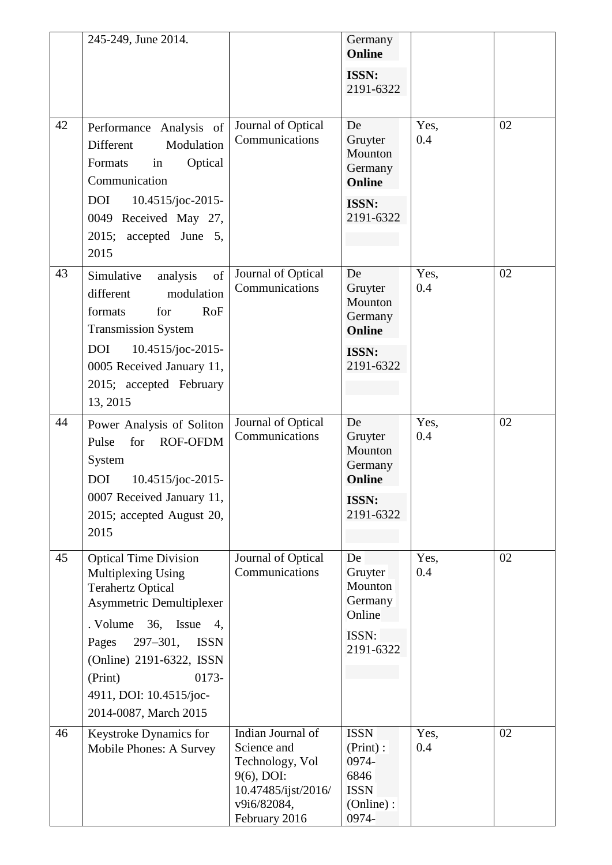|    | 245-249, June 2014.                                                                                                                                                                   |                                                                                                                          | Germany<br>Online                                                                 |             |    |
|----|---------------------------------------------------------------------------------------------------------------------------------------------------------------------------------------|--------------------------------------------------------------------------------------------------------------------------|-----------------------------------------------------------------------------------|-------------|----|
|    |                                                                                                                                                                                       |                                                                                                                          | <b>ISSN:</b><br>2191-6322                                                         |             |    |
| 42 | Performance Analysis of<br>Different<br>Modulation<br>Formats<br>in<br>Optical<br>Communication<br><b>DOI</b><br>10.4515/joc-2015-<br>0049 Received May 27,<br>2015; accepted June 5, | Journal of Optical<br>Communications                                                                                     | De<br>Gruyter<br>Mounton<br>Germany<br><b>Online</b><br><b>ISSN:</b><br>2191-6322 | Yes,<br>0.4 | 02 |
|    | 2015                                                                                                                                                                                  |                                                                                                                          |                                                                                   |             |    |
| 43 | of<br>Simulative<br>analysis<br>different<br>modulation<br>for<br>formats<br><b>RoF</b><br><b>Transmission System</b>                                                                 | Journal of Optical<br>Communications                                                                                     | De<br>Gruyter<br>Mounton<br>Germany<br>Online                                     | Yes,<br>0.4 | 02 |
|    | 10.4515/joc-2015-<br><b>DOI</b><br>0005 Received January 11,<br>2015; accepted February<br>13, 2015                                                                                   |                                                                                                                          | <b>ISSN:</b><br>2191-6322                                                         |             |    |
| 44 | Power Analysis of Soliton<br>for<br><b>ROF-OFDM</b><br>Pulse<br>System<br><b>DOI</b><br>10.4515/joc-2015-                                                                             | Journal of Optical<br>Communications                                                                                     | De<br>Gruyter<br>Mounton<br>Germany<br>Online                                     | Yes,<br>0.4 | 02 |
|    | 0007 Received January 11,<br>2015; accepted August 20,<br>2015                                                                                                                        |                                                                                                                          | <b>ISSN:</b><br>2191-6322                                                         |             |    |
| 45 | <b>Optical Time Division</b><br>Multiplexing Using<br><b>Terahertz Optical</b><br><b>Asymmetric Demultiplexer</b>                                                                     | Journal of Optical<br>Communications                                                                                     | De<br>Gruyter<br>Mounton<br>Germany<br>Online                                     | Yes,<br>0.4 | 02 |
|    | . Volume<br>36, Issue<br>4,<br>$297 - 301,$<br><b>ISSN</b><br>Pages<br>(Online) 2191-6322, ISSN<br>$0173-$<br>(Print)<br>4911, DOI: 10.4515/joc-<br>2014-0087, March 2015             |                                                                                                                          | ISSN:<br>2191-6322                                                                |             |    |
| 46 | Keystroke Dynamics for<br>Mobile Phones: A Survey                                                                                                                                     | Indian Journal of<br>Science and<br>Technology, Vol<br>9(6), DOI:<br>10.47485/ijst/2016/<br>v9i6/82084,<br>February 2016 | <b>ISSN</b><br>(Print):<br>0974-<br>6846<br><b>ISSN</b><br>(Online):<br>0974-     | Yes,<br>0.4 | 02 |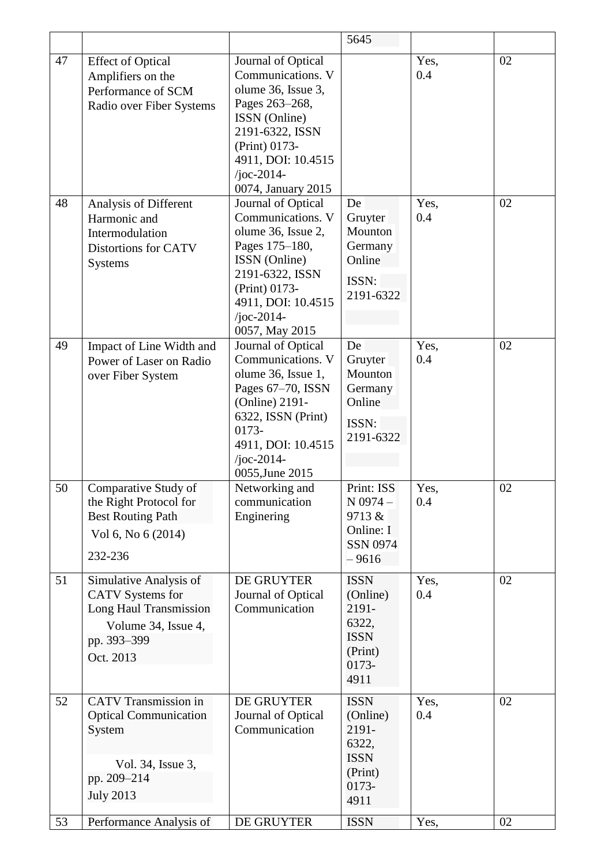|    |                                                                                                                                |                                                                                                                                                                                                | 5645                                                                                 |             |    |
|----|--------------------------------------------------------------------------------------------------------------------------------|------------------------------------------------------------------------------------------------------------------------------------------------------------------------------------------------|--------------------------------------------------------------------------------------|-------------|----|
| 47 | <b>Effect of Optical</b><br>Amplifiers on the<br>Performance of SCM<br>Radio over Fiber Systems                                | Journal of Optical<br>Communications. V<br>olume 36, Issue 3,<br>Pages 263-268,<br>ISSN (Online)<br>2191-6322, ISSN<br>(Print) 0173-<br>4911, DOI: 10.4515<br>/joc-2014-<br>0074, January 2015 |                                                                                      | Yes,<br>0.4 | 02 |
| 48 | Analysis of Different<br>Harmonic and<br>Intermodulation<br>Distortions for CATV<br>Systems                                    | Journal of Optical<br>Communications. V<br>olume 36, Issue 2,<br>Pages 175-180,<br>ISSN (Online)<br>2191-6322, ISSN<br>(Print) 0173-<br>4911, DOI: 10.4515<br>/joc-2014-<br>0057, May 2015     | De<br>Gruyter<br>Mounton<br>Germany<br>Online<br>ISSN:<br>2191-6322                  | Yes,<br>0.4 | 02 |
| 49 | Impact of Line Width and<br>Power of Laser on Radio<br>over Fiber System                                                       | Journal of Optical<br>Communications. V<br>olume 36, Issue 1,<br>Pages 67-70, ISSN<br>(Online) 2191-<br>6322, ISSN (Print)<br>0173-<br>4911, DOI: 10.4515<br>/joc-2014-<br>0055, June 2015     | De<br>Gruyter<br>Mounton<br>Germany<br>Online<br>ISSN:<br>2191-6322                  | Yes,<br>0.4 | 02 |
| 50 | Comparative Study of<br>the Right Protocol for<br><b>Best Routing Path</b><br>Vol 6, No 6 (2014)<br>232-236                    | Networking and<br>communication<br>Enginering                                                                                                                                                  | Print: ISS<br>$N$ 0974 -<br>9713 &<br>Online: I<br><b>SSN 0974</b><br>$-9616$        | Yes,<br>0.4 | 02 |
| 51 | Simulative Analysis of<br><b>CATV</b> Systems for<br>Long Haul Transmission<br>Volume 34, Issue 4,<br>pp. 393-399<br>Oct. 2013 | DE GRUYTER<br>Journal of Optical<br>Communication                                                                                                                                              | <b>ISSN</b><br>(Online)<br>2191-<br>6322,<br><b>ISSN</b><br>(Print)<br>0173-<br>4911 | Yes,<br>0.4 | 02 |
| 52 | <b>CATV</b> Transmission in<br><b>Optical Communication</b><br>System<br>Vol. 34, Issue 3,<br>pp. 209-214<br><b>July 2013</b>  | DE GRUYTER<br>Journal of Optical<br>Communication                                                                                                                                              | <b>ISSN</b><br>(Online)<br>2191-<br>6322,<br><b>ISSN</b><br>(Print)<br>0173-<br>4911 | Yes,<br>0.4 | 02 |
| 53 | Performance Analysis of                                                                                                        | DE GRUYTER                                                                                                                                                                                     | <b>ISSN</b>                                                                          | Yes,        | 02 |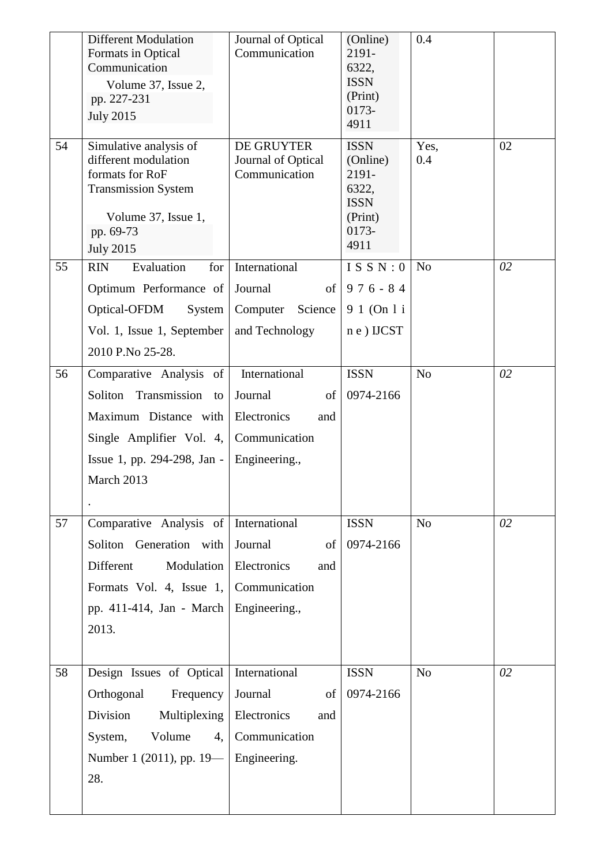|    | <b>Different Modulation</b><br>Formats in Optical<br>Communication<br>Volume 37, Issue 2,<br>pp. 227-231<br><b>July 2015</b>                            | Journal of Optical<br>Communication               | (Online)<br>2191-<br>6322,<br><b>ISSN</b><br>(Print)<br>0173-<br>4911                | 0.4            |    |
|----|---------------------------------------------------------------------------------------------------------------------------------------------------------|---------------------------------------------------|--------------------------------------------------------------------------------------|----------------|----|
| 54 | Simulative analysis of<br>different modulation<br>formats for RoF<br><b>Transmission System</b><br>Volume 37, Issue 1,<br>pp. 69-73<br><b>July 2015</b> | DE GRUYTER<br>Journal of Optical<br>Communication | <b>ISSN</b><br>(Online)<br>2191-<br>6322,<br><b>ISSN</b><br>(Print)<br>0173-<br>4911 | Yes,<br>0.4    | 02 |
| 55 | Evaluation<br>for <sub>l</sub><br><b>RIN</b>                                                                                                            | International                                     | ISSN:0                                                                               | N <sub>0</sub> | 02 |
|    | Optimum Performance of                                                                                                                                  | Journal                                           | of $976 - 84$                                                                        |                |    |
|    | Optical-OFDM<br><b>System</b><br>Vol. 1, Issue 1, September                                                                                             | Computer<br>Science<br>and Technology             | 9 1 (On 1 i<br>$n e$ ) IJCST                                                         |                |    |
|    | 2010 P.No 25-28.                                                                                                                                        |                                                   |                                                                                      |                |    |
| 56 | Comparative Analysis of                                                                                                                                 | International                                     | <b>ISSN</b>                                                                          | N <sub>o</sub> | 02 |
|    | Transmission<br>Soliton<br>to                                                                                                                           | Journal<br>of                                     | 0974-2166                                                                            |                |    |
|    | Maximum Distance with                                                                                                                                   | Electronics<br>and                                |                                                                                      |                |    |
|    | Single Amplifier Vol. 4,                                                                                                                                | Communication                                     |                                                                                      |                |    |
|    | Issue 1, pp. 294-298, Jan -                                                                                                                             | Engineering.,                                     |                                                                                      |                |    |
|    | March 2013                                                                                                                                              |                                                   |                                                                                      |                |    |
|    |                                                                                                                                                         |                                                   |                                                                                      |                |    |
| 57 | Comparative Analysis of International                                                                                                                   |                                                   | <b>ISSN</b>                                                                          | N <sub>o</sub> | 02 |
|    | Soliton Generation with                                                                                                                                 | Journal<br>of                                     | 0974-2166                                                                            |                |    |
|    | Different<br>Modulation                                                                                                                                 | Electronics<br>and                                |                                                                                      |                |    |
|    | Formats Vol. 4, Issue $1,$                                                                                                                              | Communication                                     |                                                                                      |                |    |
|    | pp. 411-414, Jan - March   Engineering.,                                                                                                                |                                                   |                                                                                      |                |    |
|    | 2013.                                                                                                                                                   |                                                   |                                                                                      |                |    |
| 58 | Design Issues of Optical                                                                                                                                | International                                     | <b>ISSN</b>                                                                          | N <sub>o</sub> | 02 |
|    | Orthogonal<br>Frequency                                                                                                                                 | Journal<br>of                                     | 0974-2166                                                                            |                |    |
|    | Division<br>Multiplexing                                                                                                                                | Electronics<br>and                                |                                                                                      |                |    |
|    | Volume<br>4,  <br>System,                                                                                                                               | Communication                                     |                                                                                      |                |    |
|    | Number 1 (2011), pp. $19$ —   Engineering.                                                                                                              |                                                   |                                                                                      |                |    |
|    | 28.                                                                                                                                                     |                                                   |                                                                                      |                |    |
|    |                                                                                                                                                         |                                                   |                                                                                      |                |    |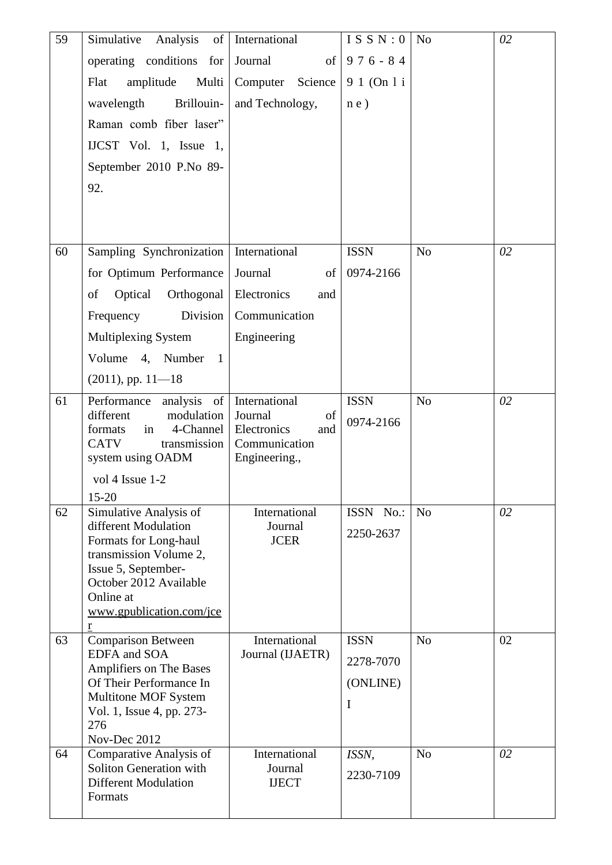| 59 | Simulative Analysis<br>of                             | International                       | ISSN: $0$     | N <sub>o</sub> | 02 |
|----|-------------------------------------------------------|-------------------------------------|---------------|----------------|----|
|    | operating conditions for                              | Journal                             | of $976 - 84$ |                |    |
|    | Multi<br>Flat<br>amplitude                            | Computer Science                    | 9 1 (On 1 i   |                |    |
|    | Brillouin-<br>wavelength                              | and Technology,                     | n e)          |                |    |
|    | Raman comb fiber laser"                               |                                     |               |                |    |
|    | IJCST Vol. 1, Issue 1,                                |                                     |               |                |    |
|    | September 2010 P.No 89-                               |                                     |               |                |    |
|    | 92.                                                   |                                     |               |                |    |
|    |                                                       |                                     |               |                |    |
|    |                                                       |                                     |               |                |    |
| 60 | Sampling Synchronization                              | International                       | <b>ISSN</b>   | N <sub>o</sub> | 02 |
|    | for Optimum Performance                               | Journal<br>$\sigma$                 | 0974-2166     |                |    |
|    | of<br>Optical Orthogonal                              | Electronics<br>and                  |               |                |    |
|    | Division<br>Frequency                                 | Communication                       |               |                |    |
|    | Multiplexing System                                   | Engineering                         |               |                |    |
|    | Volume 4, Number 1                                    |                                     |               |                |    |
|    | $(2011)$ , pp. $11-18$                                |                                     |               |                |    |
| 61 | analysis of<br>Performance                            | International                       | <b>ISSN</b>   | N <sub>o</sub> | 02 |
|    | different<br>modulation<br>4-Channel<br>formats<br>in | Journal<br>of<br>Electronics<br>and | 0974-2166     |                |    |
|    | <b>CATV</b><br>transmission                           | Communication                       |               |                |    |
|    | system using OADM                                     | Engineering.,                       |               |                |    |
|    | vol 4 Issue 1-2<br>$15 - 20$                          |                                     |               |                |    |
| 62 | Simulative Analysis of                                | International                       | ISSN No.:     | N <sub>o</sub> | 02 |
|    | different Modulation<br>Formats for Long-haul         | Journal<br><b>JCER</b>              | 2250-2637     |                |    |
|    | transmission Volume 2,                                |                                     |               |                |    |
|    | Issue 5, September-<br>October 2012 Available         |                                     |               |                |    |
|    | Online at                                             |                                     |               |                |    |
|    | www.gpublication.com/jce<br>$\underline{\mathbf{r}}$  |                                     |               |                |    |
| 63 | <b>Comparison Between</b>                             | International                       | <b>ISSN</b>   | N <sub>o</sub> | 02 |
|    | <b>EDFA</b> and SOA<br>Amplifiers on The Bases        | Journal (IJAETR)                    | 2278-7070     |                |    |
|    | Of Their Performance In                               |                                     | (ONLINE)      |                |    |
|    | Multitone MOF System<br>Vol. 1, Issue 4, pp. 273-     |                                     | I             |                |    |
|    | 276                                                   |                                     |               |                |    |
| 64 | Nov-Dec 2012<br>Comparative Analysis of               | International                       | ISSN,         | N <sub>o</sub> | 02 |
|    | Soliton Generation with                               | Journal                             | 2230-7109     |                |    |
|    | <b>Different Modulation</b><br>Formats                | <b>IJECT</b>                        |               |                |    |
|    |                                                       |                                     |               |                |    |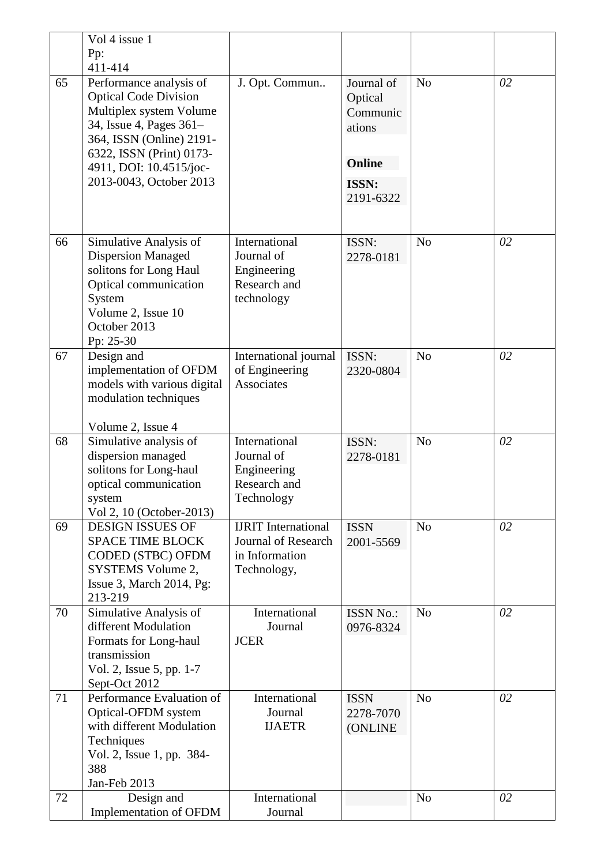|    | Vol 4 issue 1                                                                                                                                                                                                               |                                                                                    |                                                                             |                |    |
|----|-----------------------------------------------------------------------------------------------------------------------------------------------------------------------------------------------------------------------------|------------------------------------------------------------------------------------|-----------------------------------------------------------------------------|----------------|----|
|    | Pp:<br>411-414                                                                                                                                                                                                              |                                                                                    |                                                                             |                |    |
| 65 | Performance analysis of<br><b>Optical Code Division</b><br>Multiplex system Volume<br>34, Issue 4, Pages 361-<br>364, ISSN (Online) 2191-<br>6322, ISSN (Print) 0173-<br>4911, DOI: 10.4515/joc-<br>2013-0043, October 2013 | J. Opt. Commun                                                                     | Journal of<br>Optical<br>Communic<br>ations<br>Online<br>ISSN:<br>2191-6322 | N <sub>o</sub> | 02 |
| 66 | Simulative Analysis of<br><b>Dispersion Managed</b><br>solitons for Long Haul<br>Optical communication<br>System<br>Volume 2, Issue 10<br>October 2013<br>Pp: 25-30                                                         | International<br>Journal of<br>Engineering<br>Research and<br>technology           | ISSN:<br>2278-0181                                                          | N <sub>o</sub> | 02 |
| 67 | Design and<br>implementation of OFDM<br>models with various digital<br>modulation techniques<br>Volume 2, Issue 4                                                                                                           | International journal<br>of Engineering<br>Associates                              | ISSN:<br>2320-0804                                                          | N <sub>o</sub> | 02 |
| 68 | Simulative analysis of<br>dispersion managed<br>solitons for Long-haul<br>optical communication<br>system<br>Vol 2, 10 (October-2013)                                                                                       | International<br>Journal of<br>Engineering<br>Research and<br>Technology           | ISSN:<br>2278-0181                                                          | N <sub>o</sub> | 02 |
| 69 | <b>DESIGN ISSUES OF</b><br><b>SPACE TIME BLOCK</b><br>CODED (STBC) OFDM<br>SYSTEMS Volume 2,<br>Issue 3, March 2014, Pg:<br>213-219                                                                                         | <b>IJRIT</b> International<br>Journal of Research<br>in Information<br>Technology, | <b>ISSN</b><br>2001-5569                                                    | N <sub>o</sub> | 02 |
| 70 | Simulative Analysis of<br>different Modulation<br>Formats for Long-haul<br>transmission<br>Vol. 2, Issue 5, pp. 1-7<br>Sept-Oct 2012                                                                                        | International<br>Journal<br><b>JCER</b>                                            | <b>ISSN No.:</b><br>0976-8324                                               | N <sub>o</sub> | 02 |
| 71 | Performance Evaluation of<br>Optical-OFDM system<br>with different Modulation<br>Techniques<br>Vol. 2, Issue 1, pp. 384-<br>388<br>Jan-Feb 2013                                                                             | International<br>Journal<br><b>IJAETR</b>                                          | <b>ISSN</b><br>2278-7070<br><b>(ONLINE</b>                                  | N <sub>o</sub> | 02 |
| 72 | Design and<br>Implementation of OFDM                                                                                                                                                                                        | International<br>Journal                                                           |                                                                             | N <sub>o</sub> | 02 |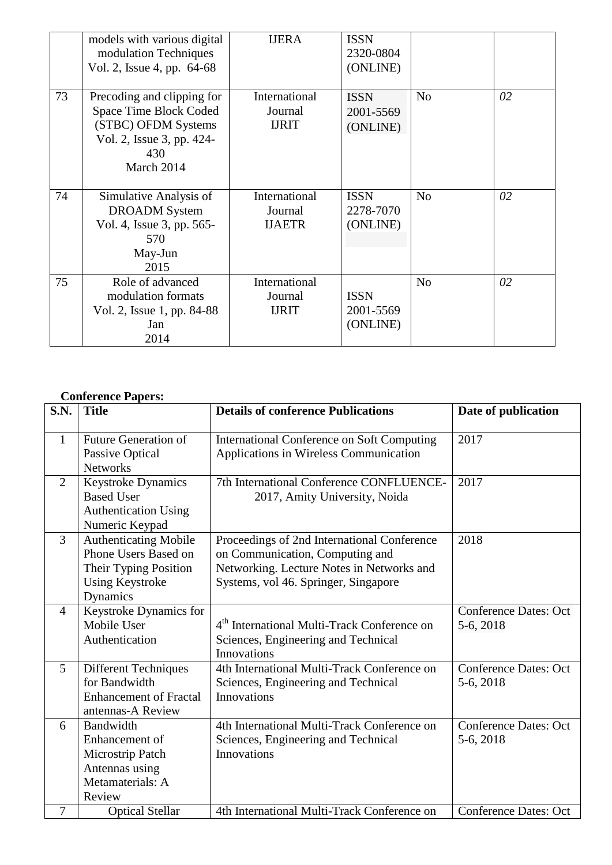|    | models with various digital<br>modulation Techniques<br>Vol. 2, Issue 4, pp. 64-68                                            | <b>IJERA</b>                              | <b>ISSN</b><br>2320-0804<br>(ONLINE) |                |    |
|----|-------------------------------------------------------------------------------------------------------------------------------|-------------------------------------------|--------------------------------------|----------------|----|
| 73 | Precoding and clipping for<br>Space Time Block Coded<br>(STBC) OFDM Systems<br>Vol. 2, Issue 3, pp. 424-<br>430<br>March 2014 | International<br>Journal<br><b>IJRIT</b>  | <b>ISSN</b><br>2001-5569<br>(ONLINE) | N <sub>o</sub> | 02 |
| 74 | Simulative Analysis of<br><b>DROADM</b> System<br>Vol. 4, Issue 3, pp. 565-<br>570<br>May-Jun<br>2015                         | International<br>Journal<br><b>IJAETR</b> | <b>ISSN</b><br>2278-7070<br>(ONLINE) | N <sub>o</sub> | 02 |
| 75 | Role of advanced<br>modulation formats<br>Vol. 2, Issue 1, pp. 84-88<br>Jan<br>2014                                           | International<br>Journal<br><b>IJRIT</b>  | <b>ISSN</b><br>2001-5569<br>(ONLINE) | N <sub>o</sub> | 02 |

#### **Conference Papers:**

| S.N.           | <b>Title</b>                                                                                                        | <b>Details of conference Publications</b>                                                                                                                           | Date of publication                       |
|----------------|---------------------------------------------------------------------------------------------------------------------|---------------------------------------------------------------------------------------------------------------------------------------------------------------------|-------------------------------------------|
| $\mathbf{1}$   | <b>Future Generation of</b><br>Passive Optical<br><b>Networks</b>                                                   | International Conference on Soft Computing<br>Applications in Wireless Communication                                                                                | 2017                                      |
| $\overline{2}$ | <b>Keystroke Dynamics</b><br><b>Based User</b><br>Authentication Using<br>Numeric Keypad                            | 7th International Conference CONFLUENCE-<br>2017, Amity University, Noida                                                                                           | 2017                                      |
| $\overline{3}$ | <b>Authenticating Mobile</b><br>Phone Users Based on<br>Their Typing Position<br><b>Using Keystroke</b><br>Dynamics | Proceedings of 2nd International Conference<br>on Communication, Computing and<br>Networking. Lecture Notes in Networks and<br>Systems, vol 46. Springer, Singapore | 2018                                      |
| $\overline{4}$ | Keystroke Dynamics for<br>Mobile User<br>Authentication                                                             | 4 <sup>th</sup> International Multi-Track Conference on<br>Sciences, Engineering and Technical<br>Innovations                                                       | <b>Conference Dates: Oct</b><br>5-6, 2018 |
| 5              | <b>Different Techniques</b><br>for Bandwidth<br><b>Enhancement of Fractal</b><br>antennas-A Review                  | 4th International Multi-Track Conference on<br>Sciences, Engineering and Technical<br>Innovations                                                                   | <b>Conference Dates: Oct</b><br>5-6, 2018 |
| 6              | Bandwidth<br>Enhancement of<br>Microstrip Patch<br>Antennas using<br>Metamaterials: A<br>Review                     | 4th International Multi-Track Conference on<br>Sciences, Engineering and Technical<br><b>Innovations</b>                                                            | <b>Conference Dates: Oct</b><br>5-6, 2018 |
| 7              | <b>Optical Stellar</b>                                                                                              | 4th International Multi-Track Conference on                                                                                                                         | <b>Conference Dates: Oct</b>              |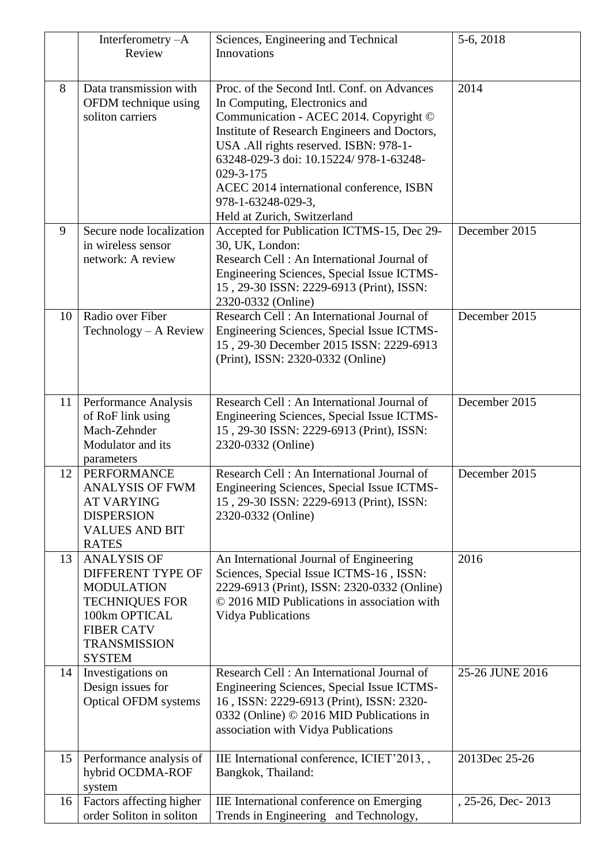|    | Interferometry $-A$<br>Review                                                                                                                                       | Sciences, Engineering and Technical<br>Innovations                                                                                                                                                                                                                                                                                                                       | 5-6, 2018         |
|----|---------------------------------------------------------------------------------------------------------------------------------------------------------------------|--------------------------------------------------------------------------------------------------------------------------------------------------------------------------------------------------------------------------------------------------------------------------------------------------------------------------------------------------------------------------|-------------------|
| 8  | Data transmission with<br>OFDM technique using<br>soliton carriers                                                                                                  | Proc. of the Second Intl. Conf. on Advances<br>In Computing, Electronics and<br>Communication - ACEC 2014. Copyright ©<br>Institute of Research Engineers and Doctors,<br>USA .All rights reserved. ISBN: 978-1-<br>63248-029-3 doi: 10.15224/978-1-63248-<br>029-3-175<br>ACEC 2014 international conference, ISBN<br>978-1-63248-029-3,<br>Held at Zurich, Switzerland | 2014              |
| 9  | Secure node localization<br>in wireless sensor<br>network: A review                                                                                                 | Accepted for Publication ICTMS-15, Dec 29-<br>30, UK, London:<br>Research Cell: An International Journal of<br>Engineering Sciences, Special Issue ICTMS-<br>15, 29-30 ISSN: 2229-6913 (Print), ISSN:<br>2320-0332 (Online)                                                                                                                                              | December 2015     |
| 10 | Radio over Fiber<br>Technology – A Review                                                                                                                           | Research Cell: An International Journal of<br>Engineering Sciences, Special Issue ICTMS-<br>15, 29-30 December 2015 ISSN: 2229-6913<br>(Print), ISSN: 2320-0332 (Online)                                                                                                                                                                                                 | December 2015     |
| 11 | Performance Analysis<br>of RoF link using<br>Mach-Zehnder<br>Modulator and its<br>parameters                                                                        | Research Cell: An International Journal of<br>Engineering Sciences, Special Issue ICTMS-<br>15, 29-30 ISSN: 2229-6913 (Print), ISSN:<br>2320-0332 (Online)                                                                                                                                                                                                               | December 2015     |
| 12 | <b>PERFORMANCE</b><br><b>ANALYSIS OF FWM</b><br><b>AT VARYING</b><br><b>DISPERSION</b><br><b>VALUES AND BIT</b><br><b>RATES</b>                                     | Research Cell: An International Journal of<br>Engineering Sciences, Special Issue ICTMS-<br>15, 29-30 ISSN: 2229-6913 (Print), ISSN:<br>2320-0332 (Online)                                                                                                                                                                                                               | December 2015     |
| 13 | <b>ANALYSIS OF</b><br>DIFFERENT TYPE OF<br><b>MODULATION</b><br><b>TECHNIQUES FOR</b><br>100km OPTICAL<br><b>FIBER CATV</b><br><b>TRANSMISSION</b><br><b>SYSTEM</b> | An International Journal of Engineering<br>Sciences, Special Issue ICTMS-16, ISSN:<br>2229-6913 (Print), ISSN: 2320-0332 (Online)<br>© 2016 MID Publications in association with<br><b>Vidya Publications</b>                                                                                                                                                            | 2016              |
| 14 | Investigations on<br>Design issues for<br><b>Optical OFDM systems</b>                                                                                               | Research Cell: An International Journal of<br>Engineering Sciences, Special Issue ICTMS-<br>16, ISSN: 2229-6913 (Print), ISSN: 2320-<br>0332 (Online) © 2016 MID Publications in<br>association with Vidya Publications                                                                                                                                                  | 25-26 JUNE 2016   |
| 15 | Performance analysis of<br>hybrid OCDMA-ROF<br>system                                                                                                               | IIE International conference, ICIET'2013, ,<br>Bangkok, Thailand:                                                                                                                                                                                                                                                                                                        | 2013Dec 25-26     |
| 16 | Factors affecting higher<br>order Soliton in soliton                                                                                                                | IIE International conference on Emerging<br>Trends in Engineering and Technology,                                                                                                                                                                                                                                                                                        | , 25-26, Dec-2013 |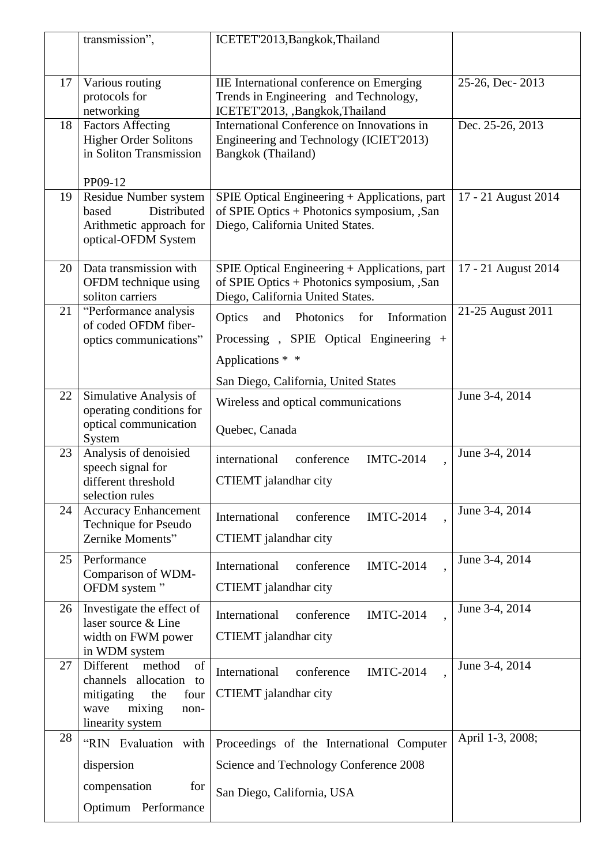|    | transmission",                                                         | ICETET'2013, Bangkok, Thailand                                                                                                  |                     |
|----|------------------------------------------------------------------------|---------------------------------------------------------------------------------------------------------------------------------|---------------------|
|    |                                                                        |                                                                                                                                 |                     |
| 17 | Various routing<br>protocols for                                       | IIE International conference on Emerging<br>Trends in Engineering and Technology,                                               | 25-26, Dec-2013     |
|    | networking                                                             | ICETET'2013, ,Bangkok,Thailand                                                                                                  |                     |
| 18 | <b>Factors Affecting</b>                                               | International Conference on Innovations in                                                                                      | Dec. 25-26, 2013    |
|    | <b>Higher Order Solitons</b><br>in Soliton Transmission                | Engineering and Technology (ICIET'2013)<br>Bangkok (Thailand)                                                                   |                     |
|    | PP09-12                                                                |                                                                                                                                 |                     |
| 19 | Residue Number system                                                  | SPIE Optical Engineering + Applications, part                                                                                   | 17 - 21 August 2014 |
|    | Distributed<br>based<br>Arithmetic approach for<br>optical-OFDM System | of SPIE Optics + Photonics symposium, ,San<br>Diego, California United States.                                                  |                     |
| 20 | Data transmission with<br>OFDM technique using<br>soliton carriers     | SPIE Optical Engineering + Applications, part<br>of SPIE Optics + Photonics symposium, ,San<br>Diego, California United States. | 17 - 21 August 2014 |
| 21 | "Performance analysis                                                  | Optics<br>Information<br>Photonics<br>for<br>and                                                                                | 21-25 August 2011   |
|    | of coded OFDM fiber-<br>optics communications"                         | Processing, SPIE Optical Engineering +                                                                                          |                     |
|    |                                                                        | Applications * *                                                                                                                |                     |
|    |                                                                        | San Diego, California, United States                                                                                            |                     |
| 22 | Simulative Analysis of                                                 | Wireless and optical communications                                                                                             | June 3-4, 2014      |
|    | operating conditions for<br>optical communication                      |                                                                                                                                 |                     |
|    | System                                                                 | Quebec, Canada                                                                                                                  |                     |
| 23 | Analysis of denoisied<br>speech signal for                             | conference<br><b>IMTC-2014</b><br>international                                                                                 | June 3-4, 2014      |
|    | different threshold                                                    | CTIEMT jalandhar city                                                                                                           |                     |
|    | selection rules                                                        |                                                                                                                                 |                     |
| 24 | <b>Accuracy Enhancement</b><br>Technique for Pseudo                    | <b>IMTC-2014</b><br>International<br>conference                                                                                 | June 3-4, 2014      |
|    | Zernike Moments"                                                       | CTIEMT jalandhar city                                                                                                           |                     |
| 25 | Performance                                                            | <b>IMTC-2014</b><br>International<br>conference                                                                                 | June 3-4, 2014      |
|    | Comparison of WDM-<br>OFDM system"                                     | CTIEMT jalandhar city                                                                                                           |                     |
| 26 | Investigate the effect of                                              | International<br><b>IMTC-2014</b><br>conference                                                                                 | June 3-4, 2014      |
|    | laser source & Line                                                    |                                                                                                                                 |                     |
|    | width on FWM power<br>in WDM system                                    | CTIEMT jalandhar city                                                                                                           |                     |
| 27 | of<br>Different<br>method                                              | <b>IMTC-2014</b><br>International<br>conference                                                                                 | June 3-4, 2014      |
|    | channels allocation<br>to<br>mitigating<br>the<br>four                 | CTIEMT jalandhar city                                                                                                           |                     |
|    | mixing<br>wave<br>non-<br>linearity system                             |                                                                                                                                 |                     |
| 28 | "RIN Evaluation with                                                   | Proceedings of the International Computer                                                                                       | April 1-3, 2008;    |
|    | dispersion                                                             | Science and Technology Conference 2008                                                                                          |                     |
|    | compensation<br>for                                                    |                                                                                                                                 |                     |
|    | Optimum Performance                                                    | San Diego, California, USA                                                                                                      |                     |
|    |                                                                        |                                                                                                                                 |                     |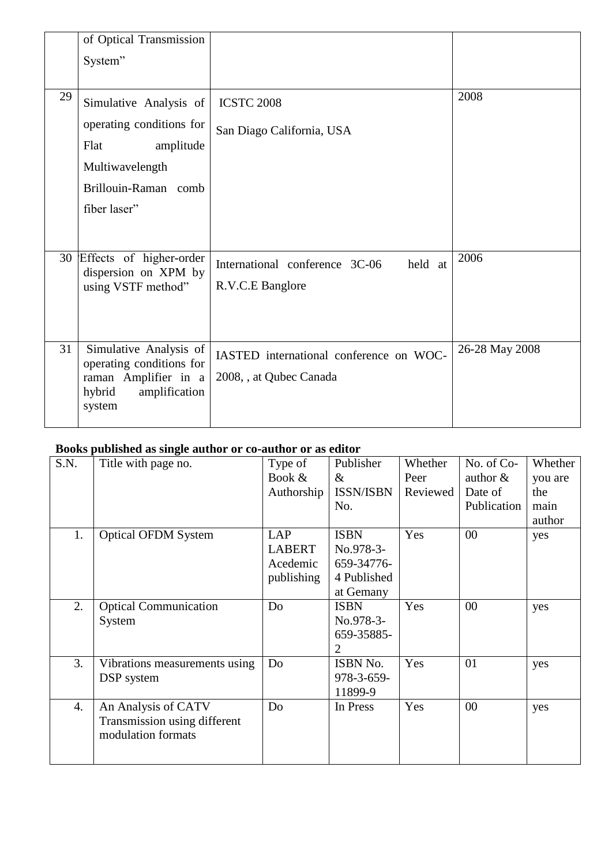|    | of Optical Transmission                                                                                         |                                                                    |                |
|----|-----------------------------------------------------------------------------------------------------------------|--------------------------------------------------------------------|----------------|
|    | System"                                                                                                         |                                                                    |                |
|    |                                                                                                                 |                                                                    |                |
| 29 | Simulative Analysis of                                                                                          | <b>ICSTC 2008</b>                                                  | 2008           |
|    | operating conditions for                                                                                        | San Diago California, USA                                          |                |
|    | Flat<br>amplitude                                                                                               |                                                                    |                |
|    | Multiwavelength                                                                                                 |                                                                    |                |
|    | Brillouin-Raman comb                                                                                            |                                                                    |                |
|    | fiber laser"                                                                                                    |                                                                    |                |
|    |                                                                                                                 |                                                                    |                |
|    | 30 Effects of higher-order<br>dispersion on XPM by<br>using VSTF method"                                        | International conference 3C-06<br>held at<br>R.V.C.E Banglore      | 2006           |
|    |                                                                                                                 |                                                                    |                |
| 31 | Simulative Analysis of<br>operating conditions for<br>raman Amplifier in a<br>amplification<br>hybrid<br>system | IASTED international conference on WOC-<br>2008, , at Qubec Canada | 26-28 May 2008 |

# **Books published as single author or co-author or as editor**

| S.N.             | Title with page no.           | Type of       | Publisher        | Whether  | No. of Co-  | Whether |
|------------------|-------------------------------|---------------|------------------|----------|-------------|---------|
|                  |                               | Book &        | $\&$             | Peer     | author $\&$ | you are |
|                  |                               | Authorship    | <b>ISSN/ISBN</b> | Reviewed | Date of     | the     |
|                  |                               |               | No.              |          | Publication | main    |
|                  |                               |               |                  |          |             | author  |
| 1.               | <b>Optical OFDM System</b>    | <b>LAP</b>    | <b>ISBN</b>      | Yes      | 00          | yes     |
|                  |                               | <b>LABERT</b> | No.978-3-        |          |             |         |
|                  |                               | Acedemic      | 659-34776-       |          |             |         |
|                  |                               | publishing    | 4 Published      |          |             |         |
|                  |                               |               | at Gemany        |          |             |         |
| 2.               | <b>Optical Communication</b>  | Do            | <b>ISBN</b>      | Yes      | 00          | yes     |
|                  | System                        |               | No.978-3-        |          |             |         |
|                  |                               |               | 659-35885-       |          |             |         |
|                  |                               |               | $\overline{2}$   |          |             |         |
| 3.               | Vibrations measurements using | Do            | ISBN No.         | Yes      | 01          | yes     |
|                  | DSP system                    |               | 978-3-659-       |          |             |         |
|                  |                               |               | 11899-9          |          |             |         |
| $\overline{4}$ . | An Analysis of CATV           | Do            | In Press         | Yes      | 00          | yes     |
|                  | Transmission using different  |               |                  |          |             |         |
|                  | modulation formats            |               |                  |          |             |         |
|                  |                               |               |                  |          |             |         |
|                  |                               |               |                  |          |             |         |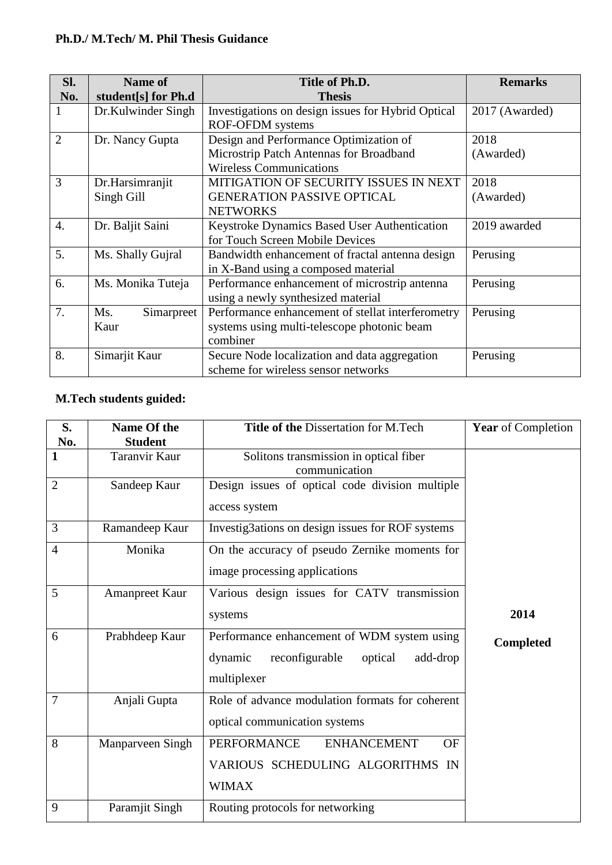## **Ph.D./ M.Tech/ M. Phil Thesis Guidance**

| Sl.              | <b>Name of</b>      | Title of Ph.D.                                     | <b>Remarks</b> |
|------------------|---------------------|----------------------------------------------------|----------------|
| No.              | student[s] for Ph.d | <b>Thesis</b>                                      |                |
| 1                | Dr.Kulwinder Singh  | Investigations on design issues for Hybrid Optical | 2017 (Awarded) |
|                  |                     | <b>ROF-OFDM</b> systems                            |                |
| $\overline{2}$   | Dr. Nancy Gupta     | Design and Performance Optimization of             | 2018           |
|                  |                     | Microstrip Patch Antennas for Broadband            | (Awarded)      |
|                  |                     | <b>Wireless Communications</b>                     |                |
| 3                | Dr.Harsimranjit     | MITIGATION OF SECURITY ISSUES IN NEXT              | 2018           |
|                  | Singh Gill          | <b>GENERATION PASSIVE OPTICAL</b>                  | (Awarded)      |
|                  |                     | <b>NETWORKS</b>                                    |                |
| $\overline{4}$ . | Dr. Baljit Saini    | Keystroke Dynamics Based User Authentication       | 2019 awarded   |
|                  |                     | for Touch Screen Mobile Devices                    |                |
| 5.               | Ms. Shally Gujral   | Bandwidth enhancement of fractal antenna design    | Perusing       |
|                  |                     | in X-Band using a composed material                |                |
| 6.               | Ms. Monika Tuteja   | Performance enhancement of microstrip antenna      | Perusing       |
|                  |                     | using a newly synthesized material                 |                |
| 7.               | Ms.<br>Simarpreet   | Performance enhancement of stellat interferometry  | Perusing       |
|                  | Kaur                | systems using multi-telescope photonic beam        |                |
|                  |                     | combiner                                           |                |
| 8.               | Simarjit Kaur       | Secure Node localization and data aggregation      | Perusing       |
|                  |                     | scheme for wireless sensor networks                |                |

# **M.Tech students guided:**

| S.             | Name Of the           | Title of the Dissertation for M.Tech                  | <b>Year</b> of Completion |  |
|----------------|-----------------------|-------------------------------------------------------|---------------------------|--|
| No.            | <b>Student</b>        |                                                       |                           |  |
| 1              | Taranvir Kaur         | Solitons transmission in optical fiber                |                           |  |
|                |                       | communication                                         |                           |  |
| $\overline{2}$ | Sandeep Kaur          | Design issues of optical code division multiple       |                           |  |
|                |                       | access system                                         |                           |  |
| 3              | Ramandeep Kaur        | Investig3ations on design issues for ROF systems      |                           |  |
| 4              | Monika                | On the accuracy of pseudo Zernike moments for         |                           |  |
|                |                       | image processing applications                         |                           |  |
| 5              | <b>Amanpreet Kaur</b> | Various design issues for CATV transmission           |                           |  |
|                |                       | systems                                               | 2014                      |  |
| 6              | Prabhdeep Kaur        | Performance enhancement of WDM system using           | <b>Completed</b>          |  |
|                |                       | reconfigurable<br>dynamic<br>optical<br>add-drop      |                           |  |
|                |                       | multiplexer                                           |                           |  |
| 7              | Anjali Gupta          | Role of advance modulation formats for coherent       |                           |  |
|                |                       | optical communication systems                         |                           |  |
| 8              | Manparveen Singh      | <b>PERFORMANCE</b><br><b>ENHANCEMENT</b><br><b>OF</b> |                           |  |
|                |                       | VARIOUS SCHEDULING ALGORITHMS IN                      |                           |  |
|                |                       | <b>WIMAX</b>                                          |                           |  |
| 9              | Paramjit Singh        | Routing protocols for networking                      |                           |  |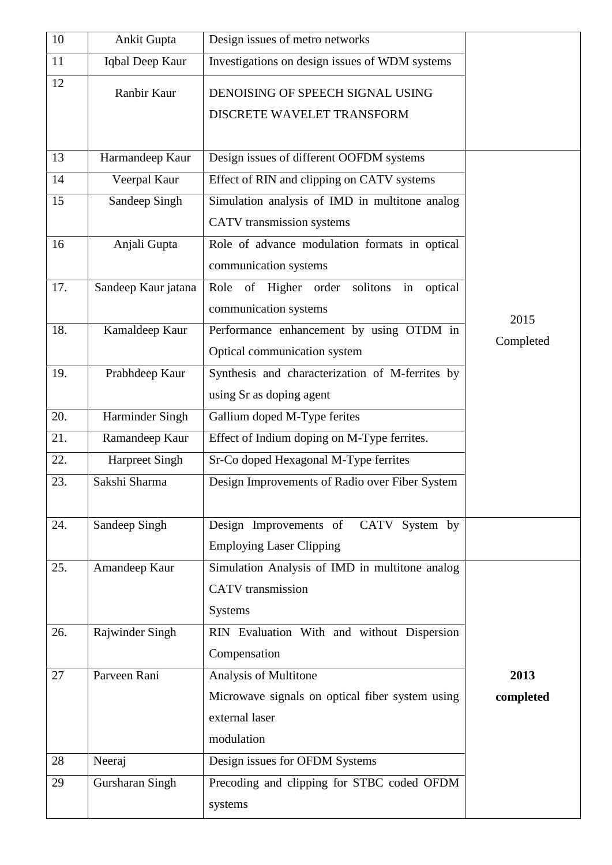| 10  | <b>Ankit Gupta</b>    | Design issues of metro networks                   |           |
|-----|-----------------------|---------------------------------------------------|-----------|
| 11  | Iqbal Deep Kaur       | Investigations on design issues of WDM systems    |           |
| 12  | Ranbir Kaur           | DENOISING OF SPEECH SIGNAL USING                  |           |
|     |                       | DISCRETE WAVELET TRANSFORM                        |           |
|     |                       |                                                   |           |
| 13  | Harmandeep Kaur       | Design issues of different OOFDM systems          |           |
| 14  | Veerpal Kaur          | Effect of RIN and clipping on CATV systems        |           |
| 15  | Sandeep Singh         | Simulation analysis of IMD in multitone analog    |           |
|     |                       | CATV transmission systems                         |           |
| 16  | Anjali Gupta          | Role of advance modulation formats in optical     |           |
|     |                       | communication systems                             |           |
| 17. | Sandeep Kaur jatana   | Role of Higher order<br>solitons<br>optical<br>in |           |
|     |                       | communication systems                             | 2015      |
| 18. | Kamaldeep Kaur        | Performance enhancement by using OTDM in          | Completed |
|     |                       | Optical communication system                      |           |
| 19. | Prabhdeep Kaur        | Synthesis and characterization of M-ferrites by   |           |
|     |                       | using Sr as doping agent                          |           |
| 20. | Harminder Singh       | Gallium doped M-Type ferites                      |           |
| 21. | Ramandeep Kaur        | Effect of Indium doping on M-Type ferrites.       |           |
| 22. | <b>Harpreet Singh</b> | Sr-Co doped Hexagonal M-Type ferrites             |           |
| 23. | Sakshi Sharma         | Design Improvements of Radio over Fiber System    |           |
|     |                       |                                                   |           |
| 24. | Sandeep Singh         | Design Improvements of CATV System by             |           |
|     |                       | <b>Employing Laser Clipping</b>                   |           |
| 25. | Amandeep Kaur         | Simulation Analysis of IMD in multitone analog    |           |
|     |                       | <b>CATV</b> transmission                          |           |
|     |                       | <b>Systems</b>                                    |           |
| 26. | Rajwinder Singh       | RIN Evaluation With and without Dispersion        |           |
|     |                       | Compensation                                      |           |
| 27  | Parveen Rani          | Analysis of Multitone                             | 2013      |
|     |                       | Microwave signals on optical fiber system using   | completed |
|     |                       | external laser                                    |           |
|     |                       | modulation                                        |           |
| 28  | Neeraj                | Design issues for OFDM Systems                    |           |
| 29  | Gursharan Singh       | Precoding and clipping for STBC coded OFDM        |           |
|     |                       | systems                                           |           |